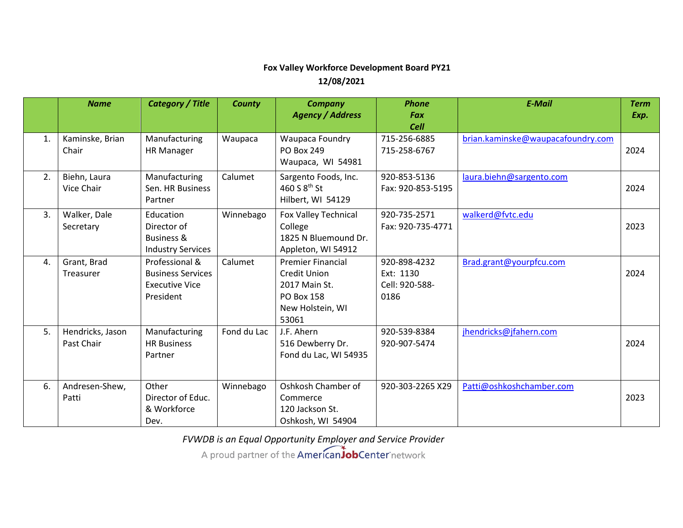## **Fox Valley Workforce Development Board PY21 12/08/2021**

|    | <b>Name</b>      | <b>Category / Title</b>  | County      | <b>Company</b>           | <b>Phone</b>      | <b>E-Mail</b>                     | <b>Term</b> |
|----|------------------|--------------------------|-------------|--------------------------|-------------------|-----------------------------------|-------------|
|    |                  |                          |             | <b>Agency / Address</b>  | <b>Fax</b>        |                                   | Exp.        |
|    |                  |                          |             |                          | <b>Cell</b>       |                                   |             |
| 1. | Kaminske, Brian  | Manufacturing            | Waupaca     | Waupaca Foundry          | 715-256-6885      | brian.kaminske@waupacafoundry.com |             |
|    | Chair            | <b>HR Manager</b>        |             | <b>PO Box 249</b>        | 715-258-6767      |                                   | 2024        |
|    |                  |                          |             | Waupaca, WI 54981        |                   |                                   |             |
| 2. | Biehn, Laura     | Manufacturing            | Calumet     | Sargento Foods, Inc.     | 920-853-5136      | laura.biehn@sargento.com          |             |
|    | Vice Chair       | Sen. HR Business         |             | 460 S 8 <sup>th</sup> St | Fax: 920-853-5195 |                                   | 2024        |
|    |                  | Partner                  |             | Hilbert, WI 54129        |                   |                                   |             |
| 3. | Walker, Dale     | Education                | Winnebago   | Fox Valley Technical     | 920-735-2571      | walkerd@fvtc.edu                  |             |
|    | Secretary        | Director of              |             | College                  | Fax: 920-735-4771 |                                   | 2023        |
|    |                  | <b>Business &amp;</b>    |             | 1825 N Bluemound Dr.     |                   |                                   |             |
|    |                  | <b>Industry Services</b> |             | Appleton, WI 54912       |                   |                                   |             |
| 4. | Grant, Brad      | Professional &           | Calumet     | <b>Premier Financial</b> | 920-898-4232      | Brad.grant@yourpfcu.com           |             |
|    | Treasurer        | <b>Business Services</b> |             | <b>Credit Union</b>      | Ext: 1130         |                                   | 2024        |
|    |                  | <b>Executive Vice</b>    |             | 2017 Main St.            | Cell: 920-588-    |                                   |             |
|    |                  | President                |             | <b>PO Box 158</b>        | 0186              |                                   |             |
|    |                  |                          |             | New Holstein, WI         |                   |                                   |             |
|    |                  |                          |             | 53061                    |                   |                                   |             |
| 5. | Hendricks, Jason | Manufacturing            | Fond du Lac | J.F. Ahern               | 920-539-8384      | jhendricks@jfahern.com            |             |
|    | Past Chair       | <b>HR Business</b>       |             | 516 Dewberry Dr.         | 920-907-5474      |                                   | 2024        |
|    |                  | Partner                  |             | Fond du Lac, WI 54935    |                   |                                   |             |
|    |                  |                          |             |                          |                   |                                   |             |
| 6. | Andresen-Shew,   | Other                    | Winnebago   | Oshkosh Chamber of       | 920-303-2265 X29  | Patti@oshkoshchamber.com          |             |
|    | Patti            | Director of Educ.        |             | Commerce                 |                   |                                   | 2023        |
|    |                  | & Workforce              |             | 120 Jackson St.          |                   |                                   |             |
|    |                  | Dev.                     |             | Oshkosh, WI 54904        |                   |                                   |             |

*FVWDB is an Equal Opportunity Employer and Service Provider*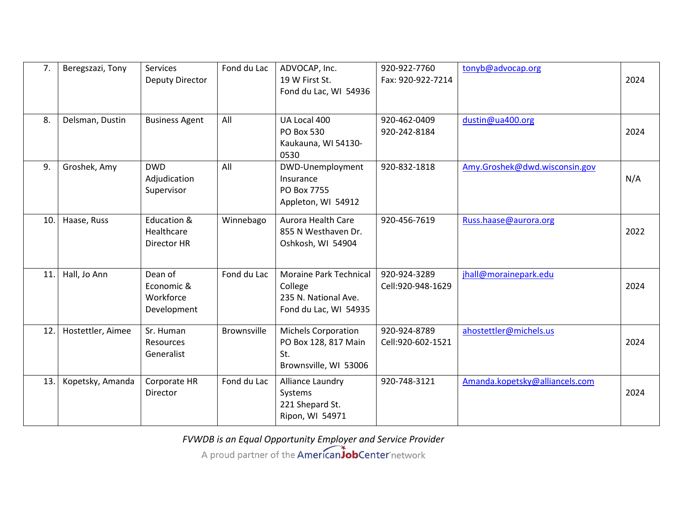| 7.  | Beregszazi, Tony  | <b>Services</b><br>Deputy Director                | Fond du Lac        | ADVOCAP, Inc.<br>19 W First St.<br>Fond du Lac, WI 54936                                  | 920-922-7760<br>Fax: 920-922-7214 | tonyb@advocap.org              | 2024 |
|-----|-------------------|---------------------------------------------------|--------------------|-------------------------------------------------------------------------------------------|-----------------------------------|--------------------------------|------|
| 8.  | Delsman, Dustin   | <b>Business Agent</b>                             | All                | UA Local 400<br><b>PO Box 530</b><br>Kaukauna, WI 54130-<br>0530                          | 920-462-0409<br>920-242-8184      | dustin@ua400.org               | 2024 |
| 9.  | Groshek, Amy      | <b>DWD</b><br>Adjudication<br>Supervisor          | All                | DWD-Unemployment<br>Insurance<br>PO Box 7755<br>Appleton, WI 54912                        | 920-832-1818                      | Amy.Groshek@dwd.wisconsin.gov  | N/A  |
| 10. | Haase, Russ       | Education &<br>Healthcare<br>Director HR          | Winnebago          | <b>Aurora Health Care</b><br>855 N Westhaven Dr.<br>Oshkosh, WI 54904                     | 920-456-7619                      | Russ.haase@aurora.org          | 2022 |
| 11. | Hall, Jo Ann      | Dean of<br>Economic &<br>Workforce<br>Development | Fond du Lac        | <b>Moraine Park Technical</b><br>College<br>235 N. National Ave.<br>Fond du Lac, WI 54935 | 920-924-3289<br>Cell:920-948-1629 | jhall@morainepark.edu          | 2024 |
| 12. | Hostettler, Aimee | Sr. Human<br>Resources<br>Generalist              | <b>Brownsville</b> | Michels Corporation<br>PO Box 128, 817 Main<br>St.<br>Brownsville, WI 53006               | 920-924-8789<br>Cell:920-602-1521 | ahostettler@michels.us         | 2024 |
| 13. | Kopetsky, Amanda  | Corporate HR<br>Director                          | Fond du Lac        | Alliance Laundry<br>Systems<br>221 Shepard St.<br>Ripon, WI 54971                         | 920-748-3121                      | Amanda.kopetsky@alliancels.com | 2024 |

*FVWDB is an Equal Opportunity Employer and Service Provider* A proud partner of the American JobCenter network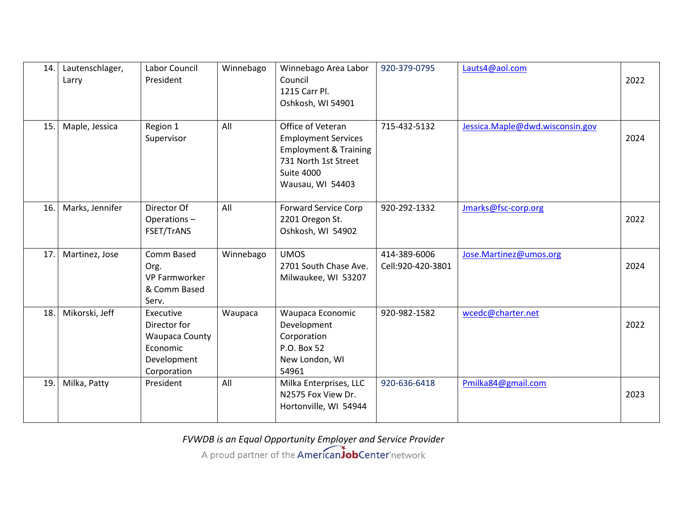| 14. | Lautenschlager,<br>Larry | Labor Council<br>President                                                            | Winnebago | Winnebago Area Labor<br>Council<br>1215 Carr Pl.<br>Oshkosh, WI 54901                                                                                | 920-379-0795                      | Lauts4@aol.com                  | 2022 |
|-----|--------------------------|---------------------------------------------------------------------------------------|-----------|------------------------------------------------------------------------------------------------------------------------------------------------------|-----------------------------------|---------------------------------|------|
| 15. | Maple, Jessica           | Region 1<br>Supervisor                                                                | All       | Office of Veteran<br><b>Employment Services</b><br><b>Employment &amp; Training</b><br>731 North 1st Street<br><b>Suite 4000</b><br>Wausau, WI 54403 | 715-432-5132                      | Jessica.Maple@dwd.wisconsin.gov | 2024 |
| 16. | Marks, Jennifer          | Director Of<br>Operations-<br>FSET/TrANS                                              | All       | <b>Forward Service Corp</b><br>2201 Oregon St.<br>Oshkosh, WI 54902                                                                                  | 920-292-1332                      | Jmarks@fsc-corp.org             | 2022 |
| 17. | Martinez, Jose           | Comm Based<br>Org.<br><b>VP Farmworker</b><br>& Comm Based<br>Serv.                   | Winnebago | <b>UMOS</b><br>2701 South Chase Ave.<br>Milwaukee, WI 53207                                                                                          | 414-389-6006<br>Cell:920-420-3801 | Jose.Martinez@umos.org          | 2024 |
| 18. | Mikorski, Jeff           | Executive<br>Director for<br>Waupaca County<br>Economic<br>Development<br>Corporation | Waupaca   | Waupaca Economic<br>Development<br>Corporation<br>P.O. Box 52<br>New London, WI<br>54961                                                             | 920-982-1582                      | wcedc@charter.net               | 2022 |
| 19. | Milka, Patty             | President                                                                             | All       | Milka Enterprises, LLC<br>N2575 Fox View Dr.<br>Hortonville, WI 54944                                                                                | 920-636-6418                      | Pmilka84@gmail.com              | 2023 |

*FVWDB is an Equal Opportunity Employer and Service Provider* A proud partner of the American JobCenter network